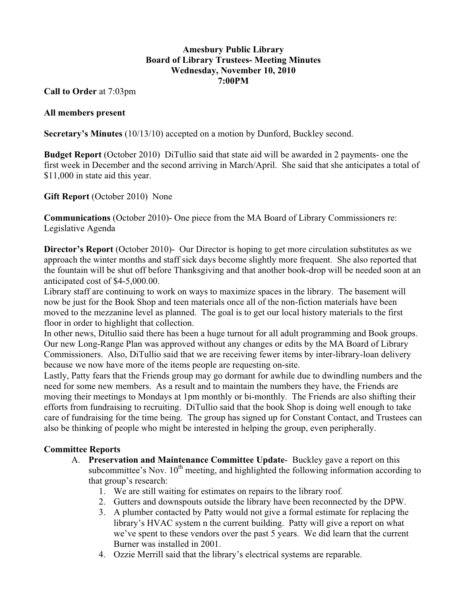## **Amesbury Public Library Board of Library Trustees- Meeting Minutes Wednesday, November 10, 2010 7:00PM**

**Call to Order** at 7:03pm

## **All members present**

**Secretary's Minutes** (10/13/10) accepted on a motion by Dunford, Buckley second.

**Budget Report** (October 2010) DiTullio said that state aid will be awarded in 2 payments- one the first week in December and the second arriving in March/April. She said that she anticipates a total of \$11,000 in state aid this year.

**Gift Report** (October 2010) None

**Communications** (October 2010)- One piece from the MA Board of Library Commissioners re: Legislative Agenda

**Director's Report** (October 2010)- Our Director is hoping to get more circulation substitutes as we approach the winter months and staff sick days become slightly more frequent. She also reported that the fountain will be shut off before Thanksgiving and that another book-drop will be needed soon at an anticipated cost of \$4-5,000.00.

Library staff are continuing to work on ways to maximize spaces in the library. The basement will now be just for the Book Shop and teen materials once all of the non-fiction materials have been moved to the mezzanine level as planned. The goal is to get our local history materials to the first floor in order to highlight that collection.

In other news, Ditullio said there has been a huge turnout for all adult programming and Book groups. Our new Long-Range Plan was approved without any changes or edits by the MA Board of Library Commissioners. Also, DiTullio said that we are receiving fewer items by inter-library-loan delivery because we now have more of the items people are requesting on-site.

Lastly, Patty fears that the Friends group may go dormant for awhile due to dwindling numbers and the need for some new members. As a result and to maintain the numbers they have, the Friends are moving their meetings to Mondays at 1pm monthly or bi-monthly. The Friends are also shifting their efforts from fundraising to recruiting. DiTullio said that the book Shop is doing well enough to take care of fundraising for the time being. The group has signed up for Constant Contact, and Trustees can also be thinking of people who might be interested in helping the group, even peripherally.

# **Committee Reports**

- A. **Preservation and Maintenance Committee Update** Buckley gave a report on this subcommittee's Nov.  $10<sup>th</sup>$  meeting, and highlighted the following information according to that group's research:
	- 1. We are still waiting for estimates on repairs to the library roof.
	- 2. Gutters and downspouts outside the library have been reconnected by the DPW.
	- 3. A plumber contacted by Patty would not give a formal estimate for replacing the library's HVAC system n the current building. Patty will give a report on what we've spent to these vendors over the past 5 years. We did learn that the current Burner was installed in 2001.
	- 4. Ozzie Merrill said that the library's electrical systems are reparable.